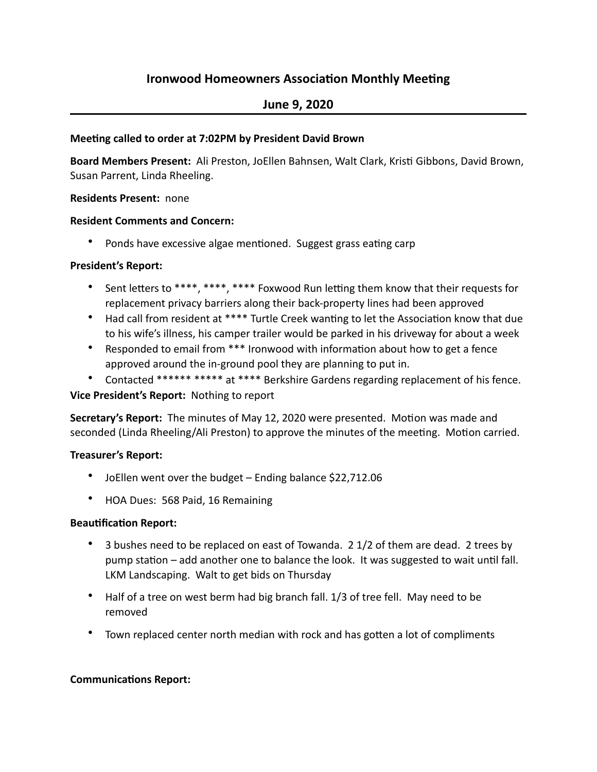# **Ironwood Homeowners Association Monthly Meeting**

## **June 9, 2020**

#### **Meeting called to order at 7:02PM by President David Brown**

Board Members Present: Ali Preston, JoEllen Bahnsen, Walt Clark, Kristi Gibbons, David Brown, Susan Parrent, Linda Rheeling.

#### **Residents Present: none**

#### **Resident Comments and Concern:**

• Ponds have excessive algae mentioned. Suggest grass eating carp

## **President's Report:**

- Sent letters to \*\*\*\*, \*\*\*\*, \*\*\*\* Foxwood Run letting them know that their requests for replacement privacy barriers along their back-property lines had been approved
- Had call from resident at \*\*\*\* Turtle Creek wanting to let the Association know that due to his wife's illness, his camper trailer would be parked in his driveway for about a week
- Responded to email from \*\*\* Ironwood with information about how to get a fence approved around the in-ground pool they are planning to put in.
- Contacted \*\*\*\*\*\* \*\*\*\*\* at \*\*\*\* Berkshire Gardens regarding replacement of his fence.

## **Vice President's Report:** Nothing to report

**Secretary's Report:** The minutes of May 12, 2020 were presented. Motion was made and seconded (Linda Rheeling/Ali Preston) to approve the minutes of the meeting. Motion carried.

#### **Treasurer's Report:**

- JoEllen went over the budget  $-$  Ending balance \$22,712.06
- HOA Dues: 568 Paid, 16 Remaining

## **Beautification Report:**

- 3 bushes need to be replaced on east of Towanda.  $2\frac{1}{2}$  of them are dead.  $2\frac{1}{2}$  trees by pump station – add another one to balance the look. It was suggested to wait until fall. LKM Landscaping. Walt to get bids on Thursday
- Half of a tree on west berm had big branch fall.  $1/3$  of tree fell. May need to be removed
- Town replaced center north median with rock and has gotten a lot of compliments

## **Communications Report:**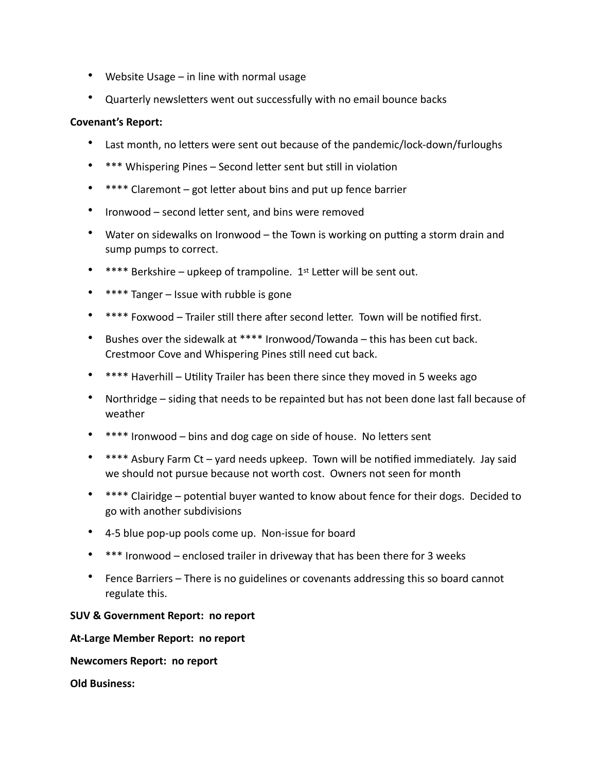- Website Usage  $-$  in line with normal usage
- Quarterly newsletters went out successfully with no email bounce backs

#### **Covenant's Report:**

- Last month, no letters were sent out because of the pandemic/lock-down/furloughs
- \*\*\* Whispering Pines Second letter sent but still in violation
- \*\*\*\* Claremont got letter about bins and put up fence barrier
- Ironwood second letter sent, and bins were removed
- Water on sidewalks on Ironwood the Town is working on putting a storm drain and sump pumps to correct.
- $***$  Berkshire upkeep of trampoline.  $1^{st}$  Letter will be sent out.
- \*\*\*\* Tanger Issue with rubble is gone
- \*\*\*\* Foxwood Trailer still there after second letter. Town will be notified first.
- Bushes over the sidewalk at  $****$  Ironwood/Towanda this has been cut back. Crestmoor Cove and Whispering Pines still need cut back.
- \*\*\*\* Haverhill Utility Trailer has been there since they moved in 5 weeks ago
- Northridge siding that needs to be repainted but has not been done last fall because of weather
- $***$  Ironwood bins and dog cage on side of house. No letters sent
- \*\*\*\* Asbury Farm Ct yard needs upkeep. Town will be notified immediately. Jay said we should not pursue because not worth cost. Owners not seen for month
- \*\*\*\* Clairidge potential buyer wanted to know about fence for their dogs. Decided to go with another subdivisions
- 4-5 blue pop-up pools come up. Non-issue for board
- \*\*\* Ironwood enclosed trailer in driveway that has been there for 3 weeks
- Fence Barriers There is no guidelines or covenants addressing this so board cannot regulate this.

#### **SUV & Government Report: no report**

At-Large Member Report: no report

#### **Newcomers Report: no report**

**Old Business:**